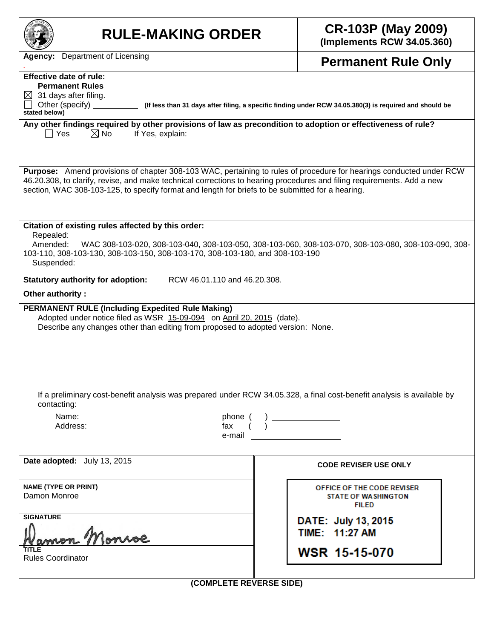| <b>RULE-MAKING ORDER</b>                                                                                                                                                                                                                                                                                                                          | <b>CR-103P (May 2009)</b><br>(Implements RCW 34.05.360)                                                                                                                                                                                                                                                                      |  |  |  |  |  |
|---------------------------------------------------------------------------------------------------------------------------------------------------------------------------------------------------------------------------------------------------------------------------------------------------------------------------------------------------|------------------------------------------------------------------------------------------------------------------------------------------------------------------------------------------------------------------------------------------------------------------------------------------------------------------------------|--|--|--|--|--|
| <b>Agency:</b> Department of Licensing                                                                                                                                                                                                                                                                                                            | <b>Permanent Rule Only</b>                                                                                                                                                                                                                                                                                                   |  |  |  |  |  |
| <b>Effective date of rule:</b><br><b>Permanent Rules</b><br>31 days after filing.<br>$\boxtimes$<br>Other (specify)<br>stated below)                                                                                                                                                                                                              | (If less than 31 days after filing, a specific finding under RCW 34.05.380(3) is required and should be                                                                                                                                                                                                                      |  |  |  |  |  |
| Any other findings required by other provisions of law as precondition to adoption or effectiveness of rule?<br>$\boxtimes$ No<br>$\Box$ Yes<br>If Yes, explain:                                                                                                                                                                                  |                                                                                                                                                                                                                                                                                                                              |  |  |  |  |  |
| Purpose: Amend provisions of chapter 308-103 WAC, pertaining to rules of procedure for hearings conducted under RCW<br>46.20.308, to clarify, revise, and make technical corrections to hearing procedures and filing requirements. Add a new<br>section, WAC 308-103-125, to specify format and length for briefs to be submitted for a hearing. |                                                                                                                                                                                                                                                                                                                              |  |  |  |  |  |
| Citation of existing rules affected by this order:<br>Repealed:<br>Amended:<br>103-110, 308-103-130, 308-103-150, 308-103-170, 308-103-180, and 308-103-190<br>Suspended:                                                                                                                                                                         | WAC 308-103-020, 308-103-040, 308-103-050, 308-103-060, 308-103-070, 308-103-080, 308-103-090, 308-                                                                                                                                                                                                                          |  |  |  |  |  |
| RCW 46.01.110 and 46.20.308.<br><b>Statutory authority for adoption:</b>                                                                                                                                                                                                                                                                          |                                                                                                                                                                                                                                                                                                                              |  |  |  |  |  |
| Other authority:                                                                                                                                                                                                                                                                                                                                  |                                                                                                                                                                                                                                                                                                                              |  |  |  |  |  |
| <b>PERMANENT RULE (Including Expedited Rule Making)</b><br>Adopted under notice filed as WSR 15-09-094 on April 20, 2015 (date).<br>Describe any changes other than editing from proposed to adopted version: None.                                                                                                                               |                                                                                                                                                                                                                                                                                                                              |  |  |  |  |  |
| If a preliminary cost-benefit analysis was prepared under RCW 34.05.328, a final cost-benefit analysis is available by<br>contacting:                                                                                                                                                                                                             |                                                                                                                                                                                                                                                                                                                              |  |  |  |  |  |
| Name:<br>phone (<br>Address:<br>fax<br>e-mail                                                                                                                                                                                                                                                                                                     | $\left\{\right\}$ $\frac{$ $\frac{1}{2}$ $\frac{1}{2}$ $\frac{1}{2}$ $\frac{1}{2}$ $\frac{1}{2}$ $\frac{1}{2}$ $\frac{1}{2}$ $\frac{1}{2}$ $\frac{1}{2}$ $\frac{1}{2}$ $\frac{1}{2}$ $\frac{1}{2}$ $\frac{1}{2}$ $\frac{1}{2}$ $\frac{1}{2}$ $\frac{1}{2}$ $\frac{1}{2}$ $\frac{1}{2}$ $\frac{1}{2}$ $\frac{1}{2}$ $\frac{1$ |  |  |  |  |  |
| Date adopted: July 13, 2015                                                                                                                                                                                                                                                                                                                       | <b>CODE REVISER USE ONLY</b>                                                                                                                                                                                                                                                                                                 |  |  |  |  |  |
| <b>NAME (TYPE OR PRINT)</b><br>Damon Monroe                                                                                                                                                                                                                                                                                                       | OFFICE OF THE CODE REVISER<br><b>STATE OF WASHINGTON</b><br><b>FILED</b>                                                                                                                                                                                                                                                     |  |  |  |  |  |
| <b>SIGNATURE</b>                                                                                                                                                                                                                                                                                                                                  | DATE: July 13, 2015<br>TIME: 11:27 AM                                                                                                                                                                                                                                                                                        |  |  |  |  |  |
| <b>Rules Coordinator</b>                                                                                                                                                                                                                                                                                                                          | <b>WSR 15-15-070</b>                                                                                                                                                                                                                                                                                                         |  |  |  |  |  |

**(COMPLETE REVERSE SIDE)**